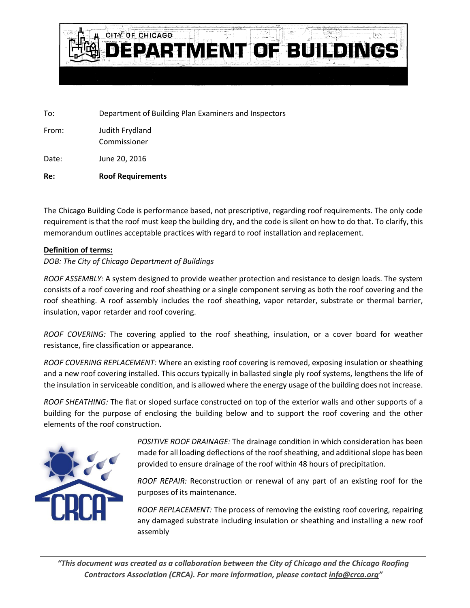

To: Department of Building Plan Examiners and Inspectors

| From: | Judith Frydland<br>Commissioner |
|-------|---------------------------------|
| Date: | June 20, 2016                   |
| Re:   | <b>Roof Requirements</b>        |

The Chicago Building Code is performance based, not prescriptive, regarding roof requirements. The only code requirement is that the roof must keep the building dry, and the code is silent on how to do that. To clarify, this memorandum outlines acceptable practices with regard to roof installation and replacement.

## **Definition of terms:**

## *DOB: The City of Chicago Department of Buildings*

*ROOF ASSEMBLY:* A system designed to provide weather protection and resistance to design loads. The system consists of a roof covering and roof sheathing or a single component serving as both the roof covering and the roof sheathing. A roof assembly includes the roof sheathing, vapor retarder, substrate or thermal barrier, insulation, vapor retarder and roof covering.

*ROOF COVERING:* The covering applied to the roof sheathing, insulation, or a cover board for weather resistance, fire classification or appearance.

*ROOF COVERING REPLACEMENT:* Where an existing roof covering is removed, exposing insulation or sheathing and a new roof covering installed. This occurs typically in ballasted single ply roof systems, lengthens the life of the insulation in serviceable condition, and is allowed where the energy usage of the building does not increase.

*ROOF SHEATHING:* The flat or sloped surface constructed on top of the exterior walls and other supports of a building for the purpose of enclosing the building below and to support the roof covering and the other elements of the roof construction.



*POSITIVE ROOF DRAINAGE:* The drainage condition in which consideration has been made for all loading deflections of the roof sheathing, and additional slope has been provided to ensure drainage of the roof within 48 hours of precipitation.

*ROOF REPAIR:* Reconstruction or renewal of any part of an existing roof for the purposes of its maintenance.

*ROOF REPLACEMENT:* The process of removing the existing roof covering, repairing any damaged substrate including insulation or sheathing and installing a new roof assembly

*"This document was created as a collaboration between the City of Chicago and the Chicago Roofing Contractors Association (CRCA). For more information, please contac[t info@crca.org](mailto:info@crca.org)"*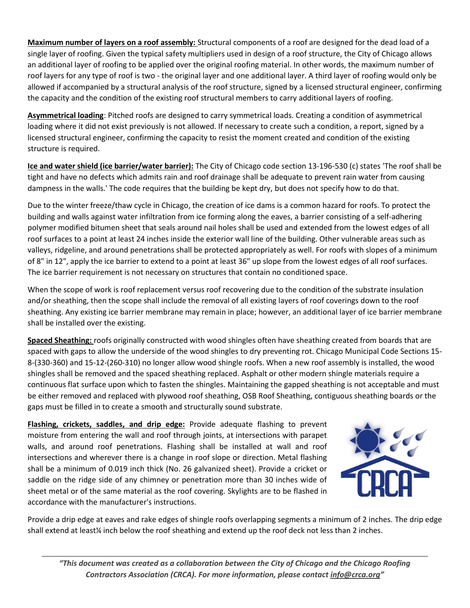**Maximum number of layers on a roof assembly:** Structural components of a roof are designed for the dead load of a single layer of roofing. Given the typical safety multipliers used in design of a roof structure, the City of Chicago allows an additional layer of roofing to be applied over the original roofing material. In other words, the maximum number of roof layers for any type of roof is two - the original layer and one additional layer. A third layer of roofing would only be allowed if accompanied by a structural analysis of the roof structure, signed by a licensed structural engineer, confirming the capacity and the condition of the existing roof structural members to carry additional layers of roofing.

**Asymmetrical loading**: Pitched roofs are designed to carry symmetrical loads. Creating a condition of asymmetrical loading where it did not exist previously is not allowed. If necessary to create such a condition, a report, signed by a licensed structural engineer, confirming the capacity to resist the moment created and condition of the existing structure is required.

**Ice and water shield (ice barrier/water barrier):** The City of Chicago code section 13-196-530 (c) states 'The roof shall be tight and have no defects which admits rain and roof drainage shall be adequate to prevent rain water from causing dampness in the walls.' The code requires that the building be kept dry, but does not specify how to do that.

Due to the winter freeze/thaw cycle in Chicago, the creation of ice dams is a common hazard for roofs. To protect the building and walls against water infiltration from ice forming along the eaves, a barrier consisting of a self-adhering polymer modified bitumen sheet that seals around nail holes shall be used and extended from the lowest edges of all roof surfaces to a point at least 24 inches inside the exterior wall line of the building. Other vulnerable areas such as valleys, ridgeline, and around penetrations shall be protected appropriately as well. For roofs with slopes of a minimum of 8" in 12", apply the ice barrier to extend to a point at least 36" up slope from the lowest edges of all roof surfaces. The ice barrier requirement is not necessary on structures that contain no conditioned space.

When the scope of work is roof replacement versus roof recovering due to the condition of the substrate insulation and/or sheathing, then the scope shall include the removal of all existing layers of roof coverings down to the roof sheathing. Any existing ice barrier membrane may remain in place; however, an additional layer of ice barrier membrane shall be installed over the existing.

**Spaced Sheathing:** roofs originally constructed with wood shingles often have sheathing created from boards that are spaced with gaps to allow the underside of the wood shingles to dry preventing rot. Chicago Municipal Code Sections 15- 8-(330-360) and 15-12-(260-310) no longer allow wood shingle roofs. When a new roof assembly is installed, the wood shingles shall be removed and the spaced sheathing replaced. Asphalt or other modern shingle materials require a continuous flat surface upon which to fasten the shingles. Maintaining the gapped sheathing is not acceptable and must be either removed and replaced with plywood roof sheathing, OSB Roof Sheathing, contiguous sheathing boards or the gaps must be filled in to create a smooth and structurally sound substrate.

**Flashing, crickets, saddles, and drip edge:** Provide adequate flashing to prevent moisture from entering the wall and roof through joints, at intersections with parapet walls, and around roof penetrations. Flashing shall be installed at wall and roof intersections and wherever there is a change in roof slope or direction. Metal flashing shall be a minimum of 0.019 inch thick (No. 26 galvanized sheet). Provide a cricket or saddle on the ridge side of any chimney or penetration more than 30 inches wide of sheet metal or of the same material as the roof covering. Skylights are to be flashed in accordance with the manufacturer's instructions.



Provide a drip edge at eaves and rake edges of shingle roofs overlapping segments a minimum of 2 inches. The drip edge shall extend at least¼ inch below the roof sheathing and extend up the roof deck not less than 2 inches.

*"This document was created as a collaboration between the City of Chicago and the Chicago Roofing Contractors Association (CRCA). For more information, please contac[t info@crca.org](mailto:info@crca.org)"*